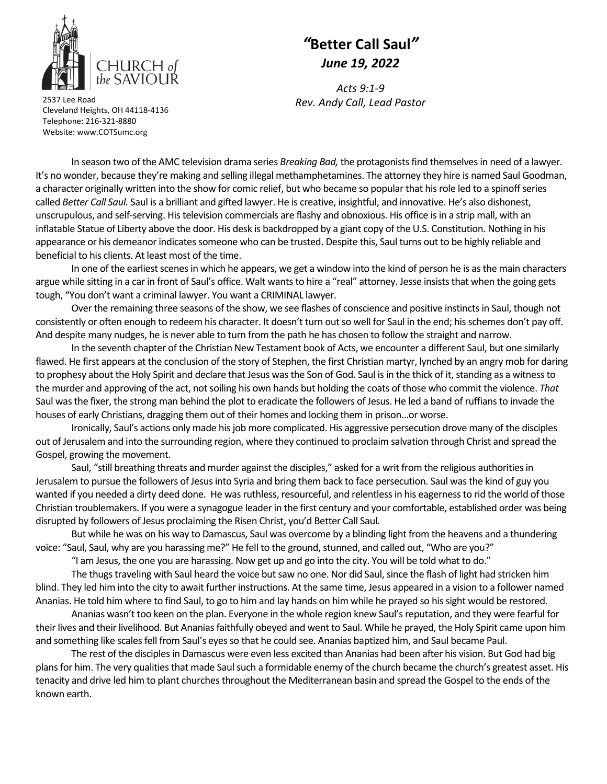

## *"***Better Call Saul***" June 19, 2022*

*Acts 9:1‐9 Rev. Andy Call, Lead Pastor* <sup>2537</sup> Lee Road

Cleveland Heights, OH 44118‐4136 Telephone: 216‐321‐8880 Website: www.COTSumc.org

In season two of the AMC television drama series *Breaking Bad,* the protagonistsfind themselvesin need of a lawyer. It's no wonder, because they're making and selling illegal methamphetamines. The attorney they hire is named Saul Goodman, a character originally written into the show for comic relief, but who became so popular that his role led to a spinoff series called *Better Call Saul.* Saul is a brilliant and gifted lawyer. He is creative, insightful, and innovative. He's also dishonest, unscrupulous, and self-serving. His television commercials are flashy and obnoxious. His office is in a strip mall, with an inflatable Statue of Liberty above the door. His desk is backdropped by a giant copy of the U.S. Constitution. Nothing in his appearance or his demeanor indicates someone who can be trusted. Despite this, Saul turns out to be highly reliable and beneficial to his clients. At least most of the time.

In one of the earliest scenes in which he appears, we get a window into the kind of person he is as the main characters argue while sitting in a car in front of Saul's office. Walt wantsto hire a "real" attorney. Jesse insiststhat when the going gets tough, "You don't want a criminal lawyer. You want a CRIMINAL lawyer.

Over the remaining three seasons of the show, we see flashes of conscience and positive instinctsin Saul, though not consistently or often enough to redeem his character. It doesn't turn outso well for Saul in the end; hisschemes don't pay off. And despite many nudges, he is never able to turn from the path he has chosen to follow the straight and narrow.

In the seventh chapter of the Christian New Testament book of Acts, we encounter a different Saul, but one similarly flawed. He first appears at the conclusion of the story of Stephen, the first Christian martyr, lynched by an angry mob for daring to prophesy about the Holy Spirit and declare that Jesus was the Son of God. Saul is in the thick of it, standing as a witness to the murder and approving of the act, not soiling his own hands but holding the coats of those who commit the violence. That Saul was the fixer, the strong man behind the plot to eradicate the followers of Jesus. He led a band of ruffians to invade the houses of early Christians, dragging them out of their homes and locking them in prison…or worse.

Ironically, Saul's actions only made hisjob more complicated. His aggressive persecution drove many of the disciples out of Jerusalem and into the surrounding region, where they continued to proclaim salvation through Christ and spread the Gospel, growing the movement.

Saul, "still breathing threats and murder against the disciples," asked for a writ from the religious authorities in Jerusalem to pursue the followers of Jesusinto Syria and bring them back to face persecution. Saul wasthe kind of guy you wanted if you needed a dirty deed done. He was ruthless, resourceful, and relentless in his eagerness to rid the world of those Christian troublemakers. If you were a synagogue leader in the first century and your comfortable, established order was being disrupted by followers of Jesus proclaiming the Risen Christ, you'd Better Call Saul.

But while he was on his way to Damascus, Saul was overcome by a blinding light from the heavens and a thundering voice: "Saul, Saul, why are you harassing me?" He fell to the ground, stunned, and called out, "Who are you?"

"I am Jesus, the one you are harassing. Now get up and go into the city. You will be told what to do."

The thugs traveling with Saul heard the voice but saw no one. Nor did Saul, since the flash of light had stricken him blind. They led him into the city to await further instructions. At the same time, Jesus appeared in a vision to a follower named Ananias. He told him where to find Saul, to go to him and lay hands on him while he prayed so hissight would be restored.

Ananias wasn't too keen on the plan. Everyone in the whole region knew Saul'sreputation, and they were fearful for their lives and their livelihood. But Ananiasfaithfully obeyed and went to Saul. While he prayed, the Holy Spirit came upon him and something like scales fell from Saul's eyes so that he could see. Ananias baptized him, and Saul became Paul.

The rest of the disciples in Damascus were even less excited than Ananias had been after his vision. But God had big plans for him. The very qualities that made Saul such a formidable enemy of the church became the church's greatest asset. His tenacity and drive led him to plant churches throughout the Mediterranean basin and spread the Gospel to the ends of the known earth.